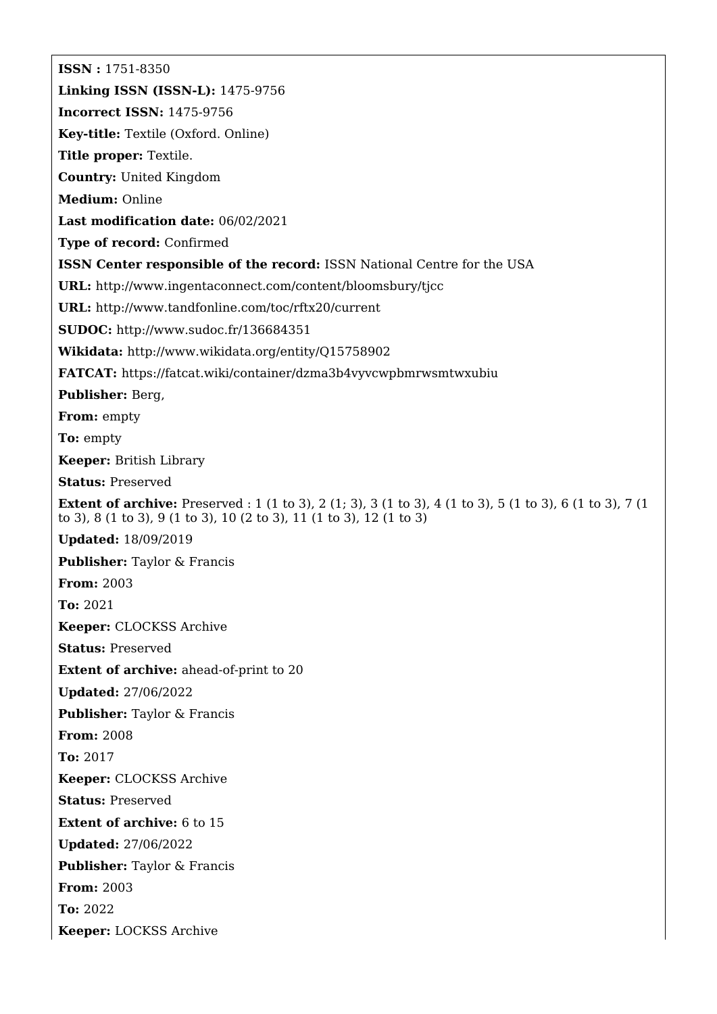**ISSN :** 1751-8350 **Linking ISSN (ISSN-L):** 1475-9756 **Incorrect ISSN:** 1475-9756 **Key-title:** Textile (Oxford. Online) **Title proper:** Textile. **Country:** United Kingdom **Medium:** Online **Last modification date:** 06/02/2021 **Type of record:** Confirmed **ISSN Center responsible of the record:** ISSN National Centre for the USA **URL:** <http://www.ingentaconnect.com/content/bloomsbury/tjcc> **URL:** <http://www.tandfonline.com/toc/rftx20/current> **SUDOC:** <http://www.sudoc.fr/136684351> **Wikidata:** <http://www.wikidata.org/entity/Q15758902> **FATCAT:** <https://fatcat.wiki/container/dzma3b4vyvcwpbmrwsmtwxubiu> **Publisher:** Berg, **From:** empty **To:** empty **Keeper:** British Library **Status:** Preserved **Extent of archive:** Preserved : 1 (1 to 3), 2 (1; 3), 3 (1 to 3), 4 (1 to 3), 5 (1 to 3), 6 (1 to 3), 7 (1 to 3), 8 (1 to 3), 9 (1 to 3), 10 (2 to 3), 11 (1 to 3), 12 (1 to 3) **Updated:** 18/09/2019 **Publisher:** Taylor & Francis **From:** 2003 **To:** 2021 **Keeper:** CLOCKSS Archive **Status:** Preserved **Extent of archive:** ahead-of-print to 20 **Updated:** 27/06/2022 **Publisher:** Taylor & Francis **From:** 2008 **To:** 2017 **Keeper:** CLOCKSS Archive **Status:** Preserved **Extent of archive:** 6 to 15 **Updated:** 27/06/2022 **Publisher:** Taylor & Francis **From:** 2003 **To:** 2022 **Keeper:** LOCKSS Archive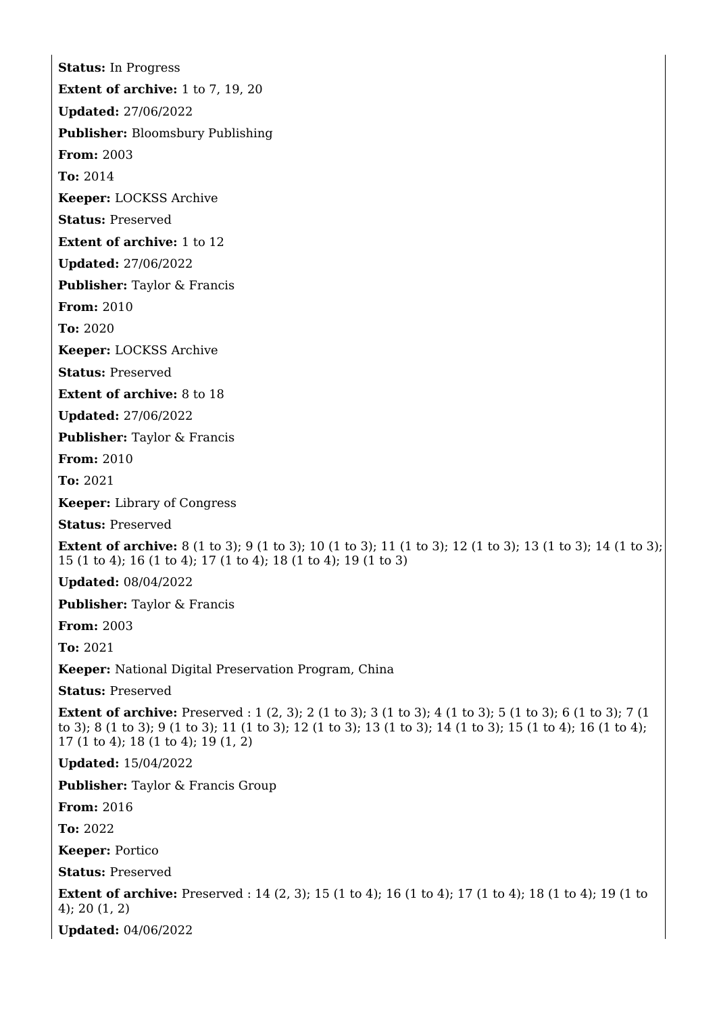**Status:** In Progress **Extent of archive:** 1 to 7, 19, 20 **Updated:** 27/06/2022 **Publisher:** Bloomsbury Publishing **From:** 2003 **To:** 2014 **Keeper:** LOCKSS Archive **Status:** Preserved **Extent of archive:** 1 to 12 **Updated:** 27/06/2022 **Publisher:** Taylor & Francis **From:** 2010 **To:** 2020 **Keeper:** LOCKSS Archive **Status:** Preserved **Extent of archive:** 8 to 18 **Updated:** 27/06/2022 **Publisher:** Taylor & Francis **From:** 2010 **To:** 2021 **Keeper:** Library of Congress **Status:** Preserved **Extent of archive:** 8 (1 to 3); 9 (1 to 3); 10 (1 to 3); 11 (1 to 3); 12 (1 to 3); 13 (1 to 3); 14 (1 to 3); 15 (1 to 4); 16 (1 to 4); 17 (1 to 4); 18 (1 to 4); 19 (1 to 3) **Updated:** 08/04/2022 **Publisher:** Taylor & Francis **From:** 2003 **To:** 2021 **Keeper:** National Digital Preservation Program, China **Status:** Preserved **Extent of archive:** Preserved : 1 (2, 3); 2 (1 to 3); 3 (1 to 3); 4 (1 to 3); 5 (1 to 3); 6 (1 to 3); 7 (1 to 3); 8 (1 to 3); 9 (1 to 3); 11 (1 to 3); 12 (1 to 3); 13 (1 to 3); 14 (1 to 3); 15 (1 to 4); 16 (1 to 4); 17 (1 to 4); 18 (1 to 4); 19 (1, 2) **Updated:** 15/04/2022 **Publisher:** Taylor & Francis Group **From:** 2016 **To:** 2022 **Keeper:** Portico **Status:** Preserved **Extent of archive:** Preserved : 14 (2, 3); 15 (1 to 4); 16 (1 to 4); 17 (1 to 4); 18 (1 to 4); 19 (1 to 4); 20 (1, 2) **Updated:** 04/06/2022